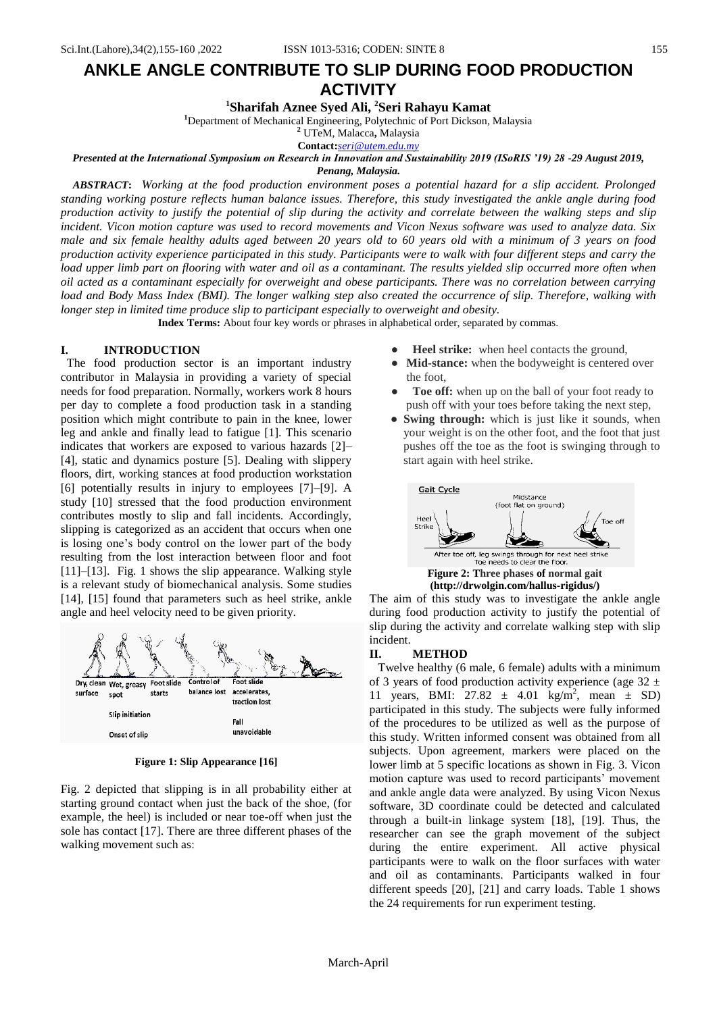# **ANKLE ANGLE CONTRIBUTE TO SLIP DURING FOOD PRODUCTION ACTIVITY**

**<sup>1</sup>Sharifah Aznee Syed Ali, <sup>2</sup>Seri Rahayu Kamat**

**<sup>1</sup>**Department of Mechanical Engineering, Polytechnic of Port Dickson, Malaysia

**<sup>2</sup>** UTeM, Malacca**,** Malaysia

**Contact:***[seri@utem.edu.my](mailto:seri@utem.edu.my)*

#### *Presented at the International Symposium on Research in Innovation and Sustainability 2019 (ISoRIS '19) 28 -29 August 2019, Penang, Malaysia.*

*ABSTRACT***:** *Working at the food production environment poses a potential hazard for a slip accident. Prolonged standing working posture reflects human balance issues. Therefore, this study investigated the ankle angle during food production activity to justify the potential of slip during the activity and correlate between the walking steps and slip incident. Vicon motion capture was used to record movements and Vicon Nexus software was used to analyze data. Six male and six female healthy adults aged between 20 years old to 60 years old with a minimum of 3 years on food production activity experience participated in this study. Participants were to walk with four different steps and carry the load upper limb part on flooring with water and oil as a contaminant. The results yielded slip occurred more often when oil acted as a contaminant especially for overweight and obese participants. There was no correlation between carrying load and Body Mass Index (BMI). The longer walking step also created the occurrence of slip. Therefore, walking with longer step in limited time produce slip to participant especially to overweight and obesity.*

**Index Terms:** About four key words or phrases in alphabetical order, separated by commas.

## **I. INTRODUCTION**

 The food production sector is an important industry contributor in Malaysia in providing a variety of special needs for food preparation. Normally, workers work 8 hours per day to complete a food production task in a standing position which might contribute to pain in the knee, lower leg and ankle and finally lead to fatigue [1]. This scenario indicates that workers are exposed to various hazards [2]– [4], static and dynamics posture [5]. Dealing with slippery floors, dirt, working stances at food production workstation [6] potentially results in injury to employees [7]–[9]. A study [10] stressed that the food production environment contributes mostly to slip and fall incidents. Accordingly, slipping is categorized as an accident that occurs when one is losing one's body control on the lower part of the body resulting from the lost interaction between floor and foot [11]–[13]. Fig. 1 shows the slip appearance. Walking style is a relevant study of biomechanical analysis. Some studies [14], [15] found that parameters such as heel strike, ankle angle and heel velocity need to be given priority.



**Figure 1: Slip Appearance [16]** 

Fig. 2 depicted that slipping is in all probability either at starting ground contact when just the back of the shoe, (for example, the heel) is included or near toe-off when just the sole has contact [17]. There are three different phases of the walking movement such as:

- **Heel strike:** when heel contacts the ground,
- **Mid-stance:** when the bodyweight is centered over the foot,
- Toe off: when up on the ball of your foot ready to push off with your toes before taking the next step,
- **Swing through:** which is just like it sounds, when your weight is on the other foot, and the foot that just pushes off the toe as the foot is swinging through to start again with heel strike.



**(http://drwolgin.com/hallus-rigidus/)**

The aim of this study was to investigate the ankle angle during food production activity to justify the potential of slip during the activity and correlate walking step with slip incident.

#### **II. METHOD**

Twelve healthy (6 male, 6 female) adults with a minimum of 3 years of food production activity experience (age  $32 \pm$ 11 years, BMI:  $27.82 \pm 4.01$  kg/m<sup>2</sup>, mean  $\pm$  SD) participated in this study. The subjects were fully informed of the procedures to be utilized as well as the purpose of this study. Written informed consent was obtained from all subjects. Upon agreement, markers were placed on the lower limb at 5 specific locations as shown in Fig. 3. Vicon motion capture was used to record participants' movement and ankle angle data were analyzed. By using Vicon Nexus software, 3D coordinate could be detected and calculated through a built-in linkage system [18], [19]. Thus, the researcher can see the graph movement of the subject during the entire experiment. All active physical participants were to walk on the floor surfaces with water and oil as contaminants. Participants walked in four different speeds [20], [21] and carry loads. Table 1 shows the 24 requirements for run experiment testing.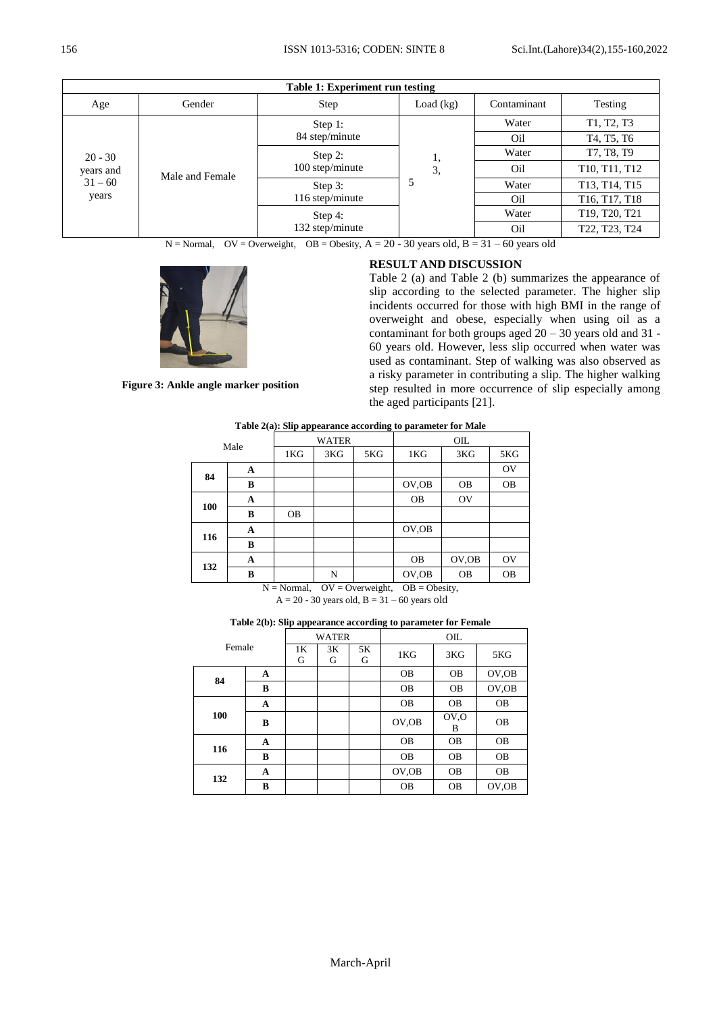### 156 ISSN 1013-5316; CODEN: SINTE 8 Sci.Int.(Lahore)34(2),155-160,2022

| Table 1: Experiment run testing              |                 |                 |               |             |                                                     |  |  |
|----------------------------------------------|-----------------|-----------------|---------------|-------------|-----------------------------------------------------|--|--|
| Age                                          | Gender          | Step            | Load $(kg)$   | Contaminant | Testing                                             |  |  |
|                                              | Male and Female | Step 1:         |               | Water       | T1, T2, T3                                          |  |  |
| $20 - 30$<br>years and<br>$31 - 60$<br>years |                 | 84 step/minute  |               | Oil         | T4, T5, T6                                          |  |  |
|                                              |                 | Step 2:         | ı,<br>3,<br>5 | Water       | T7, T8, T9                                          |  |  |
|                                              |                 | 100 step/minute |               | Oil         | T10, T11, T12                                       |  |  |
|                                              |                 | Step 3:         |               | Water       | T13, T14, T15                                       |  |  |
|                                              |                 | 116 step/minute |               | Oil         | T <sub>16</sub> , T <sub>17</sub> , T <sub>18</sub> |  |  |
|                                              |                 | Step 4:         |               | Water       | T19, T20, T21                                       |  |  |
|                                              |                 | 132 step/minute |               | Oil         | T22, T23, T24                                       |  |  |

 $N = Normal$ ,  $OV = Overweight$ ,  $OB = Obsity$ ,  $A = 20 - 30$  years old,  $B = 31 - 60$  years old



# **RESULT AND DISCUSSION**

Table 2 (a) and Table 2 (b) summarizes the appearance of slip according to the selected parameter. The higher slip incidents occurred for those with high BMI in the range of overweight and obese, especially when using oil as a contaminant for both groups aged  $20 - 30$  years old and 31 -60 years old. However, less slip occurred when water was used as contaminant. Step of walking was also observed as a risky parameter in contributing a slip. The higher walking step resulted in more occurrence of slip especially among the aged participants [21].

**Figure 3: Ankle angle marker position**

| Table 2(a): Slip appearance according to parameter for Male |   |           |              |     |               |           |           |  |
|-------------------------------------------------------------|---|-----------|--------------|-----|---------------|-----------|-----------|--|
| Male                                                        |   |           | <b>WATER</b> |     | OIL           |           |           |  |
|                                                             |   | 1KG       | 3KG          | 5KG | 1KG           | 3KG       | 5KG       |  |
| 84                                                          | A |           |              |     |               |           | OV        |  |
|                                                             | В |           |              |     | OV, OB        | <b>OB</b> | <b>OB</b> |  |
| 100                                                         | A |           |              |     | <b>OB</b>     | <b>OV</b> |           |  |
|                                                             | B | <b>OB</b> |              |     |               |           |           |  |
| 116                                                         | A |           |              |     | OV, OB        |           |           |  |
|                                                             | B |           |              |     |               |           |           |  |
| 132                                                         | A |           |              |     | <b>OB</b>     | OV, OB    | OV        |  |
|                                                             | B |           | N            |     | OV, OB<br>$-$ | <b>OB</b> | <b>OB</b> |  |

 $N = Normal$ ,  $OV = Overweight$ ,  $OB = Obsity$ ,  $A = 20 - 30$  years old,  $B = 31 - 60$  years old

**Table 2(b): Slip appearance according to parameter for Female**

|        |   | <b>WATER</b> |         |         | OIL       |                        |           |  |
|--------|---|--------------|---------|---------|-----------|------------------------|-----------|--|
| Female |   | 1K<br>G      | 3K<br>G | 5K<br>G | 1KG       | 3KG                    | 5KG       |  |
| 84     | A |              |         |         | <b>OB</b> | <b>OB</b>              | OV, OB    |  |
|        | B |              |         |         | <b>OB</b> | <b>OB</b>              | OV, OB    |  |
| 100    | A |              |         |         | <b>OB</b> | <b>OB</b>              | <b>OB</b> |  |
|        | B |              |         |         | OV, OB    | OV <sub>.</sub> O<br>B | <b>OB</b> |  |
| 116    | A |              |         |         | <b>OB</b> | <b>OB</b>              | <b>OB</b> |  |
|        | B |              |         |         | <b>OB</b> | <b>OB</b>              | <b>OB</b> |  |
| 132    | A |              |         |         | OV, OB    | <b>OB</b>              | <b>OB</b> |  |
|        | B |              |         |         | OΒ        | <b>OB</b>              | OV.OB     |  |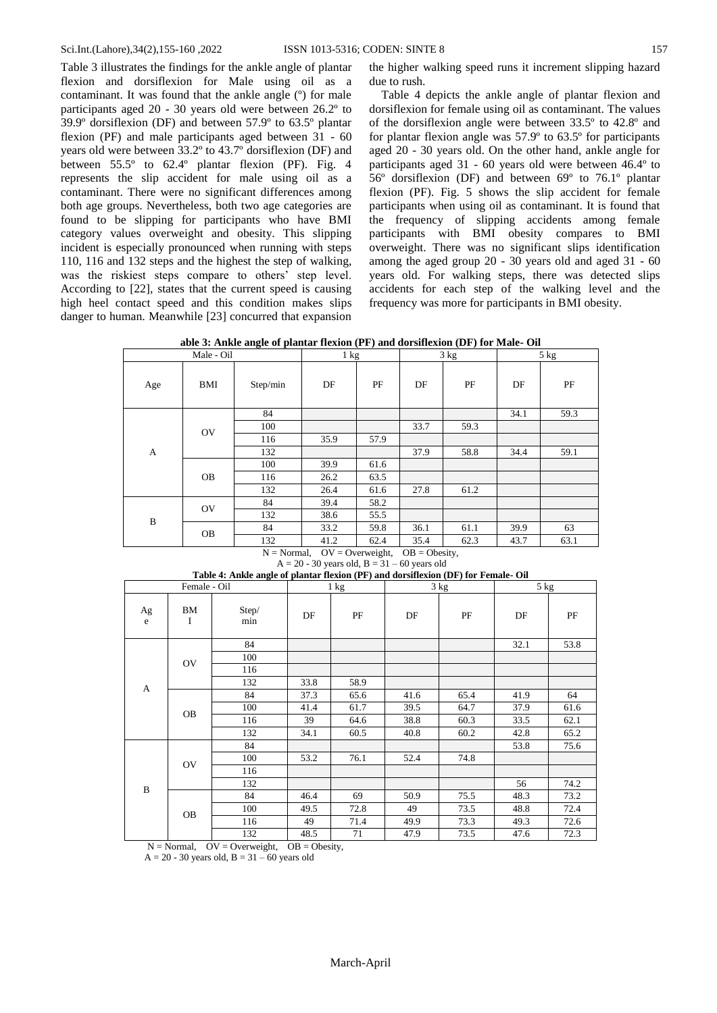Table 3 illustrates the findings for the ankle angle of plantar flexion and dorsiflexion for Male using oil as a contaminant. It was found that the ankle angle (º) for male participants aged 20 - 30 years old were between 26.2º to 39.9º dorsiflexion (DF) and between 57.9º to 63.5º plantar flexion (PF) and male participants aged between 31 - 60 years old were between 33.2º to 43.7º dorsiflexion (DF) and between 55.5º to 62.4º plantar flexion (PF). Fig. 4 represents the slip accident for male using oil as a contaminant. There were no significant differences among both age groups. Nevertheless, both two age categories are found to be slipping for participants who have BMI category values overweight and obesity. This slipping incident is especially pronounced when running with steps 110, 116 and 132 steps and the highest the step of walking, was the riskiest steps compare to others' step level. According to [22], states that the current speed is causing high heel contact speed and this condition makes slips danger to human. Meanwhile [23] concurred that expansion

the higher walking speed runs it increment slipping hazard due to rush.

Table 4 depicts the ankle angle of plantar flexion and dorsiflexion for female using oil as contaminant. The values of the dorsiflexion angle were between 33.5º to 42.8º and for plantar flexion angle was 57.9º to 63.5º for participants aged 20 - 30 years old. On the other hand, ankle angle for participants aged 31 - 60 years old were between 46.4º to 56º dorsiflexion (DF) and between 69º to 76.1º plantar flexion (PF). Fig. 5 shows the slip accident for female participants when using oil as contaminant. It is found that the frequency of slipping accidents among female participants with BMI obesity compares to BMI overweight. There was no significant slips identification among the aged group 20 - 30 years old and aged 31 - 60 years old. For walking steps, there was detected slips accidents for each step of the walking level and the frequency was more for participants in BMI obesity.

**able 3: Ankle angle of plantar flexion (PF) and dorsiflexion (DF) for Male- Oil**

|           |                       | $1 \text{ kg}$ |              | 3 kg                  |      | 5 kg                                   |          |
|-----------|-----------------------|----------------|--------------|-----------------------|------|----------------------------------------|----------|
| BMI       | Step/min              | DF             | PF           | DF                    | PF   | DF                                     | $\rm PF$ |
|           | 84                    |                |              |                       |      | 34.1                                   | 59.3     |
|           | 100                   |                |              | 33.7                  | 59.3 |                                        |          |
|           | 116                   | 35.9           | 57.9         |                       |      |                                        |          |
|           | 132                   |                |              | 37.9                  | 58.8 | 34.4                                   | 59.1     |
|           | 100                   | 39.9           | 61.6         |                       |      |                                        |          |
| <b>OB</b> | 116                   | 26.2           | 63.5         |                       |      |                                        |          |
|           | 132                   | 26.4           | 61.6         | 27.8                  | 61.2 |                                        |          |
|           | 84                    | 39.4           | 58.2         |                       |      |                                        |          |
|           | 132                   | 38.6           | 55.5         |                       |      |                                        |          |
|           | 84                    | 33.2           | 59.8         | 36.1                  | 61.1 | 39.9                                   | 63       |
|           | 132                   | 41.2           | 62.4         | 35.4                  | 62.3 | 43.7                                   | 63.1     |
|           | OV<br><b>OV</b><br>OB |                | $N = Normo1$ | $\Delta V - \Delta v$ |      | $\Omega_{\rm D}$ = $\Omega_{\rm host}$ |          |

 $N = Normal$ ,  $OV = Overweight$ ,  $OB = Obsity$ ,  $A = 20 - 30$  years old,  $B = 31 - 60$  years old

| Female - Oil                              |                |                                | 1 kg                                               |      | where $\alpha$ is a single of parameter from $\alpha$ , $\alpha$ , $\beta$ and documentar ( $\beta$ , $\beta$ ) for a change $\beta$ and<br>3 kg |      | 5 kg |      |
|-------------------------------------------|----------------|--------------------------------|----------------------------------------------------|------|--------------------------------------------------------------------------------------------------------------------------------------------------|------|------|------|
| $\rm Ag$<br>e                             | ВM<br>$\bf{I}$ | Step/<br>min                   | DF                                                 | PF   | DF                                                                                                                                               | PF   | DF   | PF   |
|                                           |                | 84                             |                                                    |      |                                                                                                                                                  |      | 32.1 | 53.8 |
|                                           | OV             | 100                            |                                                    |      |                                                                                                                                                  |      |      |      |
|                                           |                | 116                            |                                                    |      |                                                                                                                                                  |      |      |      |
| A                                         |                | 132                            | 33.8                                               | 58.9 |                                                                                                                                                  |      |      |      |
|                                           |                | 84                             | 37.3                                               | 65.6 | 41.6                                                                                                                                             | 65.4 | 41.9 | 64   |
|                                           | OB             | 100                            | 41.4                                               | 61.7 | 39.5                                                                                                                                             | 64.7 | 37.9 | 61.6 |
|                                           |                | 116                            | 39                                                 | 64.6 | 38.8                                                                                                                                             | 60.3 | 33.5 | 62.1 |
|                                           |                | 132                            | 34.1                                               | 60.5 | 40.8                                                                                                                                             | 60.2 | 42.8 | 65.2 |
|                                           |                | 84                             |                                                    |      |                                                                                                                                                  |      | 53.8 | 75.6 |
|                                           | $\rm OV$       | 100                            | 53.2                                               | 76.1 | 52.4                                                                                                                                             | 74.8 |      |      |
|                                           |                | 116                            |                                                    |      |                                                                                                                                                  |      |      |      |
| $\, {\bf B}$<br>$\mathbf{v}$ $\mathbf{v}$ |                | 132                            |                                                    |      |                                                                                                                                                  |      | 56   | 74.2 |
|                                           |                | 84                             | 46.4                                               | 69   | 50.9                                                                                                                                             | 75.5 | 48.3 | 73.2 |
|                                           | OB             | 100                            | 49.5                                               | 72.8 | 49                                                                                                                                               | 73.5 | 48.8 | 72.4 |
|                                           |                | 116                            | 49                                                 | 71.4 | 49.9                                                                                                                                             | 73.3 | 49.3 | 72.6 |
|                                           | $\mathbf{1}$   | 132<br>$\alpha x + \alpha + x$ | 48.5<br>$\Omega_{\rm D}$ $\Omega_{\rm I}$ $\Omega$ | 71   | 47.9                                                                                                                                             | 73.5 | 47.6 | 72.3 |

**Table 4: Ankle angle of plantar flexion (PF) and dorsiflexion (DF) for Female- Oil**

 $N = Normal$ ,  $OV = Overweight$ ,  $OB = Observ$ ,  $A = 20 - 30$  years old,  $B = 31 - 60$  years old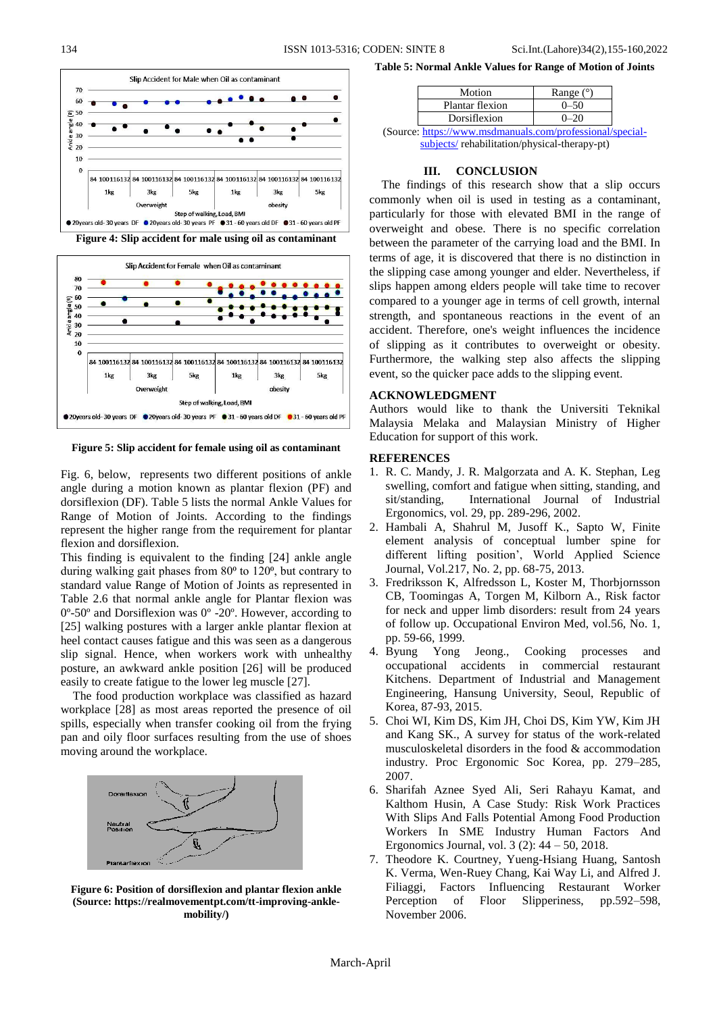

**Figure 4: Slip accident for male using oil as contaminant**



**Figure 5: Slip accident for female using oil as contaminant**

Fig. 6, below, represents two different positions of ankle angle during a motion known as plantar flexion (PF) and dorsiflexion (DF). Table 5 lists the normal Ankle Values for Range of Motion of Joints. According to the findings represent the higher range from the requirement for plantar flexion and dorsiflexion.

This finding is equivalent to the finding [24] ankle angle during walking gait phases from 80<sup>o</sup> to 120<sup>o</sup>, but contrary to standard value Range of Motion of Joints as represented in Table 2.6 that normal ankle angle for Plantar flexion was 0º-50º and Dorsiflexion was 0º -20º. However, according to [25] walking postures with a larger ankle plantar flexion at heel contact causes fatigue and this was seen as a dangerous slip signal. Hence, when workers work with unhealthy posture, an awkward ankle position [26] will be produced easily to create fatigue to the lower leg muscle [27].

The food production workplace was classified as hazard workplace [28] as most areas reported the presence of oil spills, especially when transfer cooking oil from the frying pan and oily floor surfaces resulting from the use of shoes moving around the workplace.



**Figure 6: Position of dorsiflexion and plantar flexion ankle (Source: https://realmovementpt.com/tt-improving-anklemobility/)**

**Table 5: Normal Ankle Values for Range of Motion of Joints**

| Motion          | Range $(°)$ |
|-----------------|-------------|
| Plantar flexion | $0 - 50$    |
| Dorsiflexion    | 0–20        |
|                 |             |

(Source: [https://www.msdmanuals.com/professional/special](https://www.msdmanuals.com/professional/special-subjects/)[subjects/](https://www.msdmanuals.com/professional/special-subjects/) rehabilitation/physical-therapy-pt)

#### **III. CONCLUSION**

The findings of this research show that a slip occurs commonly when oil is used in testing as a contaminant, particularly for those with elevated BMI in the range of overweight and obese. There is no specific correlation between the parameter of the carrying load and the BMI. In terms of age, it is discovered that there is no distinction in the slipping case among younger and elder. Nevertheless, if slips happen among elders people will take time to recover compared to a younger age in terms of cell growth, internal strength, and spontaneous reactions in the event of an accident. Therefore, one's weight influences the incidence of slipping as it contributes to overweight or obesity. Furthermore, the walking step also affects the slipping event, so the quicker pace adds to the slipping event.

### **ACKNOWLEDGMENT**

Authors would like to thank the Universiti Teknikal Malaysia Melaka and Malaysian Ministry of Higher Education for support of this work.

#### **REFERENCES**

- 1. R. C. Mandy, J. R. Malgorzata and A. K. Stephan, Leg swelling, comfort and fatigue when sitting, standing, and sit/standing, International Journal of Industrial Ergonomics, vol. 29, pp. 289-296, 2002.
- 2. Hambali A, Shahrul M, Jusoff K., Sapto W, Finite element analysis of conceptual lumber spine for different lifting position', World Applied Science Journal, Vol.217, No. 2, pp. 68-75, 2013.
- 3. Fredriksson K, Alfredsson L, Koster M, Thorbjornsson CB, Toomingas A, Torgen M, Kilborn A., Risk factor for neck and upper limb disorders: result from 24 years of follow up. Occupational Environ Med, vol.56, No. 1, pp. 59-66, 1999.
- 4. Byung Yong Jeong., Cooking processes and occupational accidents in commercial restaurant Kitchens. Department of Industrial and Management Engineering, Hansung University, Seoul, Republic of Korea, 87-93, 2015.
- 5. Choi WI, Kim DS, Kim JH, Choi DS, Kim YW, Kim JH and Kang SK., A survey for status of the work-related musculoskeletal disorders in the food & accommodation industry. Proc Ergonomic Soc Korea, pp. 279–285, 2007.
- 6. Sharifah Aznee Syed Ali, Seri Rahayu Kamat, and Kalthom Husin, A Case Study: Risk Work Practices With Slips And Falls Potential Among Food Production Workers In SME Industry Human Factors And Ergonomics Journal, vol. 3 (2): 44 – 50, 2018.
- 7. Theodore K. Courtney, Yueng-Hsiang Huang, Santosh K. Verma, Wen-Ruey Chang, Kai Way Li, and Alfred J. Filiaggi, Factors Influencing Restaurant Worker Perception of Floor Slipperiness, pp.592–598, November 2006.